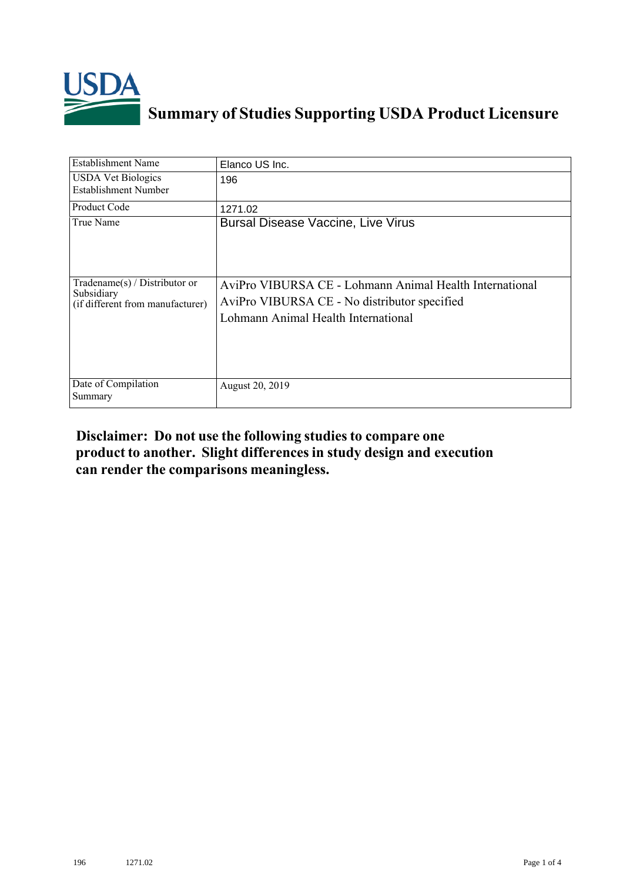

## **Summary of Studies Supporting USDA Product Licensure**

| <b>Establishment Name</b>                                                       | Elanco US Inc.                                                                                                                                 |
|---------------------------------------------------------------------------------|------------------------------------------------------------------------------------------------------------------------------------------------|
| <b>USDA Vet Biologics</b><br>Establishment Number                               | 196                                                                                                                                            |
| <b>Product Code</b>                                                             | 1271.02                                                                                                                                        |
| True Name                                                                       | <b>Bursal Disease Vaccine, Live Virus</b>                                                                                                      |
| Tradename(s) / Distributor or<br>Subsidiary<br>(if different from manufacturer) | AviPro VIBURSA CE - Lohmann Animal Health International<br>AviPro VIBURSA CE - No distributor specified<br>Lohmann Animal Health International |
| Date of Compilation<br>Summary                                                  | August 20, 2019                                                                                                                                |

## **Disclaimer: Do not use the following studiesto compare one product to another. Slight differencesin study design and execution can render the comparisons meaningless.**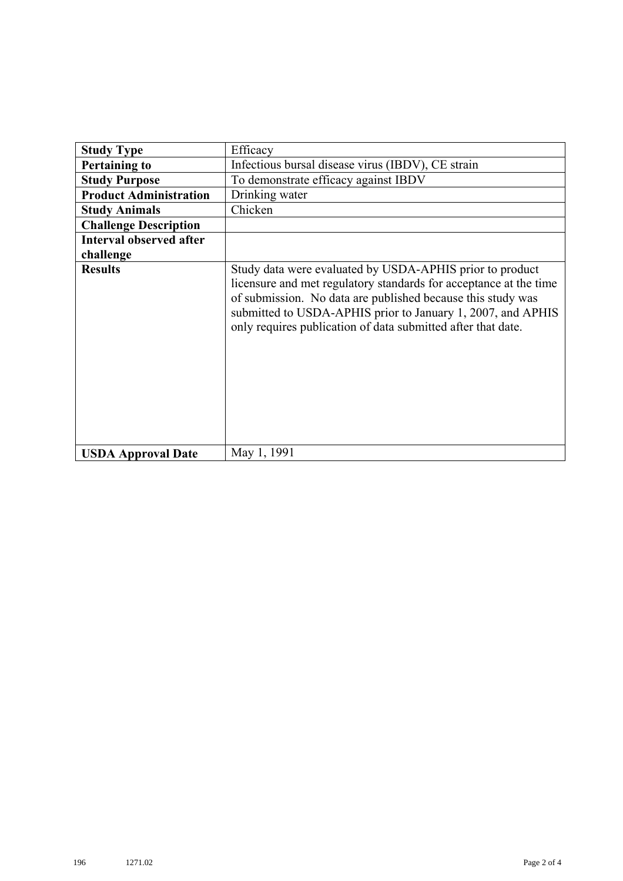| <b>Study Type</b>              | Efficacy                                                                                                                                                                                                                                                                                                                    |
|--------------------------------|-----------------------------------------------------------------------------------------------------------------------------------------------------------------------------------------------------------------------------------------------------------------------------------------------------------------------------|
| <b>Pertaining to</b>           | Infectious bursal disease virus (IBDV), CE strain                                                                                                                                                                                                                                                                           |
| <b>Study Purpose</b>           | To demonstrate efficacy against IBDV                                                                                                                                                                                                                                                                                        |
| <b>Product Administration</b>  | Drinking water                                                                                                                                                                                                                                                                                                              |
| <b>Study Animals</b>           | Chicken                                                                                                                                                                                                                                                                                                                     |
| <b>Challenge Description</b>   |                                                                                                                                                                                                                                                                                                                             |
| <b>Interval observed after</b> |                                                                                                                                                                                                                                                                                                                             |
| challenge                      |                                                                                                                                                                                                                                                                                                                             |
| <b>Results</b>                 | Study data were evaluated by USDA-APHIS prior to product<br>licensure and met regulatory standards for acceptance at the time<br>of submission. No data are published because this study was<br>submitted to USDA-APHIS prior to January 1, 2007, and APHIS<br>only requires publication of data submitted after that date. |
| <b>USDA Approval Date</b>      | May 1, 1991                                                                                                                                                                                                                                                                                                                 |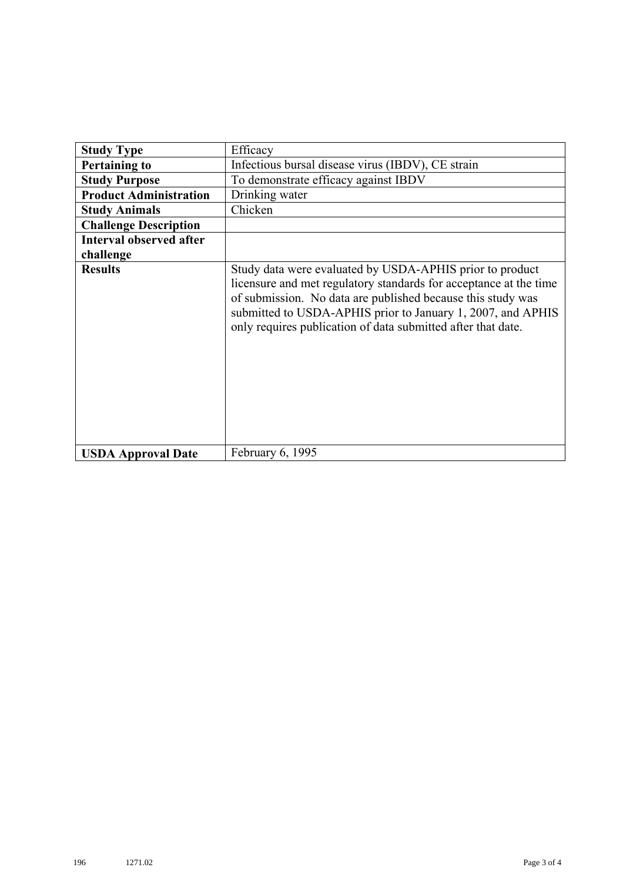| <b>Study Type</b>              | Efficacy                                                                                                                                                                                                                                                                                                                    |
|--------------------------------|-----------------------------------------------------------------------------------------------------------------------------------------------------------------------------------------------------------------------------------------------------------------------------------------------------------------------------|
| <b>Pertaining to</b>           | Infectious bursal disease virus (IBDV), CE strain                                                                                                                                                                                                                                                                           |
| <b>Study Purpose</b>           | To demonstrate efficacy against IBDV                                                                                                                                                                                                                                                                                        |
| <b>Product Administration</b>  | Drinking water                                                                                                                                                                                                                                                                                                              |
| <b>Study Animals</b>           | Chicken                                                                                                                                                                                                                                                                                                                     |
| <b>Challenge Description</b>   |                                                                                                                                                                                                                                                                                                                             |
| <b>Interval observed after</b> |                                                                                                                                                                                                                                                                                                                             |
| challenge                      |                                                                                                                                                                                                                                                                                                                             |
| <b>Results</b>                 | Study data were evaluated by USDA-APHIS prior to product<br>licensure and met regulatory standards for acceptance at the time<br>of submission. No data are published because this study was<br>submitted to USDA-APHIS prior to January 1, 2007, and APHIS<br>only requires publication of data submitted after that date. |
| <b>USDA Approval Date</b>      | February 6, 1995                                                                                                                                                                                                                                                                                                            |